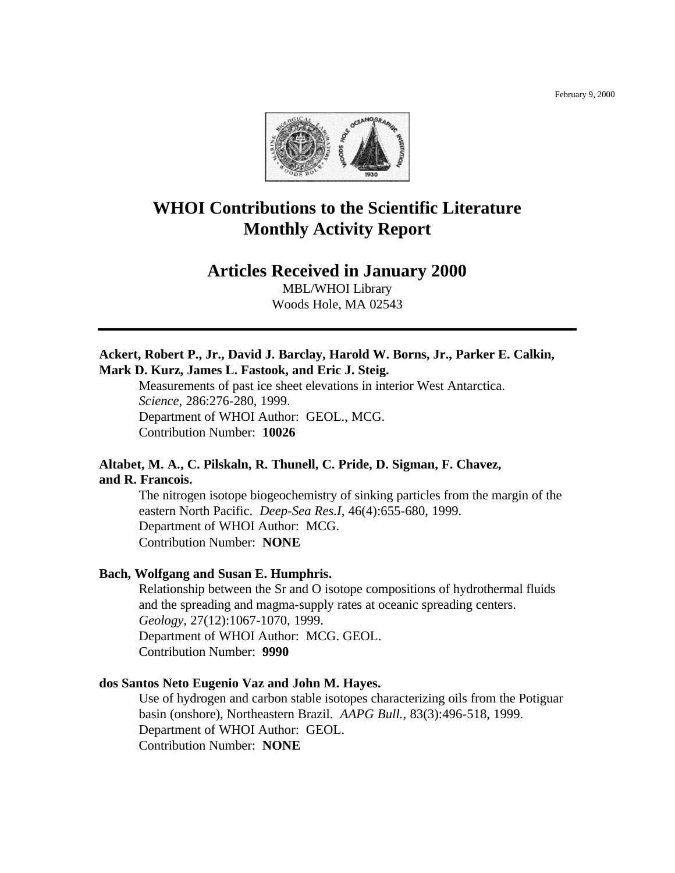

# **WHOI Contributions to the Scientific Literature Monthly Activity Report**

# **Articles Received in January 2000**

MBL/WHOI Library Woods Hole, MA 02543

# **Ackert, Robert P., Jr., David J. Barclay, Harold W. Borns, Jr., Parker E. Calkin, Mark D. Kurz, James L. Fastook, and Eric J. Steig.**

Measurements of past ice sheet elevations in interior West Antarctica. *Science*, 286:276-280, 1999. Department of WHOI Author: GEOL., MCG. Contribution Number: **10026**

# **Altabet, M. A., C. Pilskaln, R. Thunell, C. Pride, D. Sigman, F. Chavez, and R. Francois.**

The nitrogen isotope biogeochemistry of sinking particles from the margin of the eastern North Pacific. *Deep-Sea Res.I*, 46(4):655-680, 1999. Department of WHOI Author: MCG. Contribution Number: **NONE**

#### **Bach, Wolfgang and Susan E. Humphris.**

Relationship between the Sr and O isotope compositions of hydrothermal fluids and the spreading and magma-supply rates at oceanic spreading centers. *Geology*, 27(12):1067-1070, 1999. Department of WHOI Author: MCG. GEOL. Contribution Number: **9990**

#### **dos Santos Neto Eugenio Vaz and John M. Hayes.**

Use of hydrogen and carbon stable isotopes characterizing oils from the Potiguar basin (onshore), Northeastern Brazil. *AAPG Bull.*, 83(3):496-518, 1999. Department of WHOI Author: GEOL. Contribution Number: **NONE**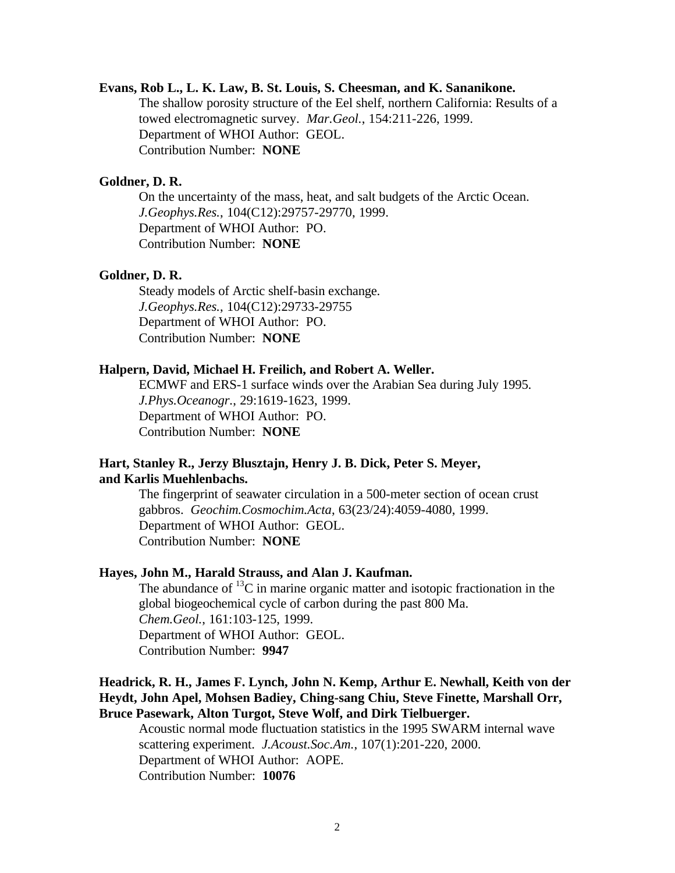# **Evans, Rob L., L. K. Law, B. St. Louis, S. Cheesman, and K. Sananikone.**

The shallow porosity structure of the Eel shelf, northern California: Results of a towed electromagnetic survey. *Mar.Geol.*, 154:211-226, 1999. Department of WHOI Author: GEOL. Contribution Number: **NONE**

# **Goldner, D. R.**

On the uncertainty of the mass, heat, and salt budgets of the Arctic Ocean. *J.Geophys.Res.*, 104(C12):29757-29770, 1999. Department of WHOI Author: PO. Contribution Number: **NONE**

#### **Goldner, D. R.**

Steady models of Arctic shelf-basin exchange. *J.Geophys.Res.*, 104(C12):29733-29755 Department of WHOI Author: PO. Contribution Number: **NONE**

#### **Halpern, David, Michael H. Freilich, and Robert A. Weller.**

ECMWF and ERS-1 surface winds over the Arabian Sea during July 1995. *J.Phys.Oceanogr.*, 29:1619-1623, 1999. Department of WHOI Author: PO. Contribution Number: **NONE**

# **Hart, Stanley R., Jerzy Blusztajn, Henry J. B. Dick, Peter S. Meyer, and Karlis Muehlenbachs.**

The fingerprint of seawater circulation in a 500-meter section of ocean crust gabbros. *Geochim.Cosmochim.Acta*, 63(23/24):4059-4080, 1999. Department of WHOI Author: GEOL. Contribution Number: **NONE**

# **Hayes, John M., Harald Strauss, and Alan J. Kaufman.**

The abundance of  ${}^{13}C$  in marine organic matter and isotopic fractionation in the global biogeochemical cycle of carbon during the past 800 Ma. *Chem.Geol.*, 161:103-125, 1999. Department of WHOI Author: GEOL. Contribution Number: **9947**

# **Headrick, R. H., James F. Lynch, John N. Kemp, Arthur E. Newhall, Keith von der Heydt, John Apel, Mohsen Badiey, Ching-sang Chiu, Steve Finette, Marshall Orr, Bruce Pasewark, Alton Turgot, Steve Wolf, and Dirk Tielbuerger.**

Acoustic normal mode fluctuation statistics in the 1995 SWARM internal wave scattering experiment. *J.Acoust.Soc.Am.*, 107(1):201-220, 2000. Department of WHOI Author: AOPE. Contribution Number: **10076**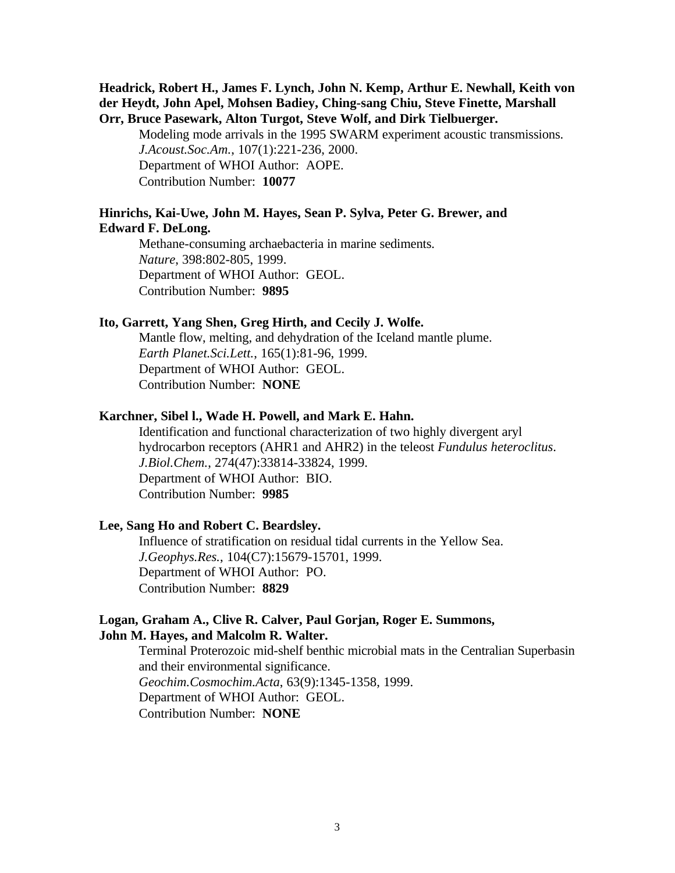# **Headrick, Robert H., James F. Lynch, John N. Kemp, Arthur E. Newhall, Keith von der Heydt, John Apel, Mohsen Badiey, Ching-sang Chiu, Steve Finette, Marshall Orr, Bruce Pasewark, Alton Turgot, Steve Wolf, and Dirk Tielbuerger.**

Modeling mode arrivals in the 1995 SWARM experiment acoustic transmissions. *J.Acoust.Soc.Am.*, 107(1):221-236, 2000. Department of WHOI Author: AOPE. Contribution Number: **10077**

# **Hinrichs, Kai-Uwe, John M. Hayes, Sean P. Sylva, Peter G. Brewer, and Edward F. DeLong.**

Methane-consuming archaebacteria in marine sediments. *Nature*, 398:802-805, 1999. Department of WHOI Author: GEOL. Contribution Number: **9895**

#### **Ito, Garrett, Yang Shen, Greg Hirth, and Cecily J. Wolfe.**

Mantle flow, melting, and dehydration of the Iceland mantle plume. *Earth Planet.Sci.Lett.*, 165(1):81-96, 1999. Department of WHOI Author: GEOL. Contribution Number: **NONE**

#### **Karchner, Sibel l., Wade H. Powell, and Mark E. Hahn.**

Identification and functional characterization of two highly divergent aryl hydrocarbon receptors (AHR1 and AHR2) in the teleost *Fundulus heteroclitus*. *J.Biol.Chem.*, 274(47):33814-33824, 1999. Department of WHOI Author: BIO. Contribution Number: **9985**

### **Lee, Sang Ho and Robert C. Beardsley.**

Influence of stratification on residual tidal currents in the Yellow Sea. *J.Geophys.Res.*, 104(C7):15679-15701, 1999. Department of WHOI Author: PO. Contribution Number: **8829**

#### **Logan, Graham A., Clive R. Calver, Paul Gorjan, Roger E. Summons, John M. Hayes, and Malcolm R. Walter.**

Terminal Proterozoic mid-shelf benthic microbial mats in the Centralian Superbasin and their environmental significance. *Geochim.Cosmochim.Acta*, 63(9):1345-1358, 1999. Department of WHOI Author: GEOL. Contribution Number: **NONE**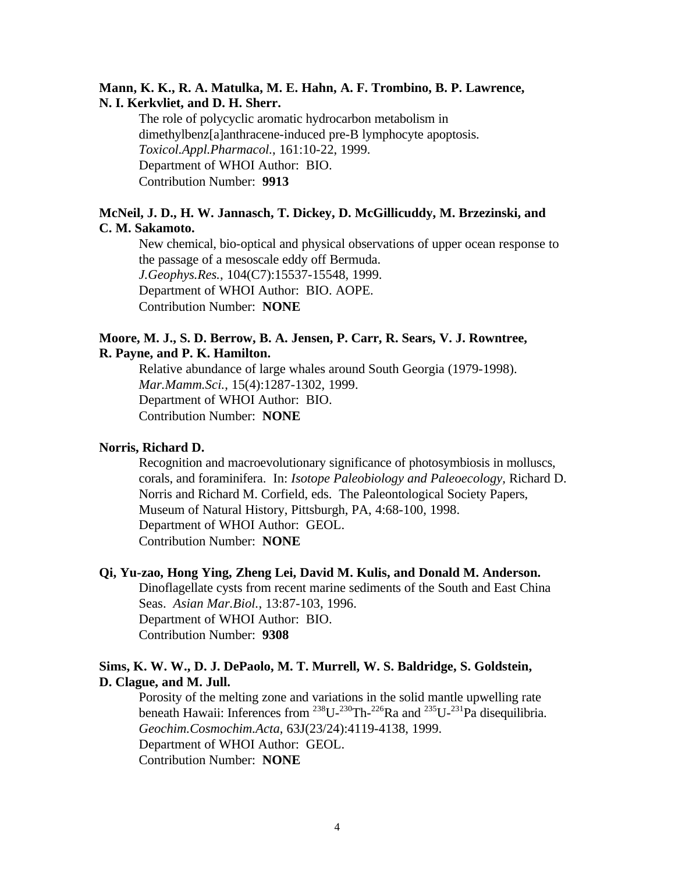# **Mann, K. K., R. A. Matulka, M. E. Hahn, A. F. Trombino, B. P. Lawrence, N. I. Kerkvliet, and D. H. Sherr.**

The role of polycyclic aromatic hydrocarbon metabolism in dimethylbenz[a]anthracene-induced pre-B lymphocyte apoptosis. *Toxicol.Appl.Pharmacol.*, 161:10-22, 1999. Department of WHOI Author: BIO. Contribution Number: **9913**

# **McNeil, J. D., H. W. Jannasch, T. Dickey, D. McGillicuddy, M. Brzezinski, and C. M. Sakamoto.**

New chemical, bio-optical and physical observations of upper ocean response to the passage of a mesoscale eddy off Bermuda. *J.Geophys.Res.*, 104(C7):15537-15548, 1999. Department of WHOI Author: BIO. AOPE. Contribution Number: **NONE**

# **Moore, M. J., S. D. Berrow, B. A. Jensen, P. Carr, R. Sears, V. J. Rowntree, R. Payne, and P. K. Hamilton.**

Relative abundance of large whales around South Georgia (1979-1998). *Mar.Mamm.Sci.*, 15(4):1287-1302, 1999. Department of WHOI Author: BIO. Contribution Number: **NONE**

# **Norris, Richard D.**

Recognition and macroevolutionary significance of photosymbiosis in molluscs, corals, and foraminifera. In: *Isotope Paleobiology and Paleoecology,* Richard D. Norris and Richard M. Corfield, eds. The Paleontological Society Papers, Museum of Natural History, Pittsburgh, PA, 4:68-100, 1998. Department of WHOI Author: GEOL. Contribution Number: **NONE**

# **Qi, Yu-zao, Hong Ying, Zheng Lei, David M. Kulis, and Donald M. Anderson.**

Dinoflagellate cysts from recent marine sediments of the South and East China Seas. *Asian Mar.Biol.*, 13:87-103, 1996. Department of WHOI Author: BIO. Contribution Number: **9308**

# **Sims, K. W. W., D. J. DePaolo, M. T. Murrell, W. S. Baldridge, S. Goldstein, D. Clague, and M. Jull.**

Porosity of the melting zone and variations in the solid mantle upwelling rate beneath Hawaii: Inferences from  $^{238}U^{-230}Th^{-226}Ra$  and  $^{235}U^{-231}Pa$  disequilibria. *Geochim.Cosmochim.Acta*, 63J(23/24):4119-4138, 1999. Department of WHOI Author: GEOL. Contribution Number: **NONE**